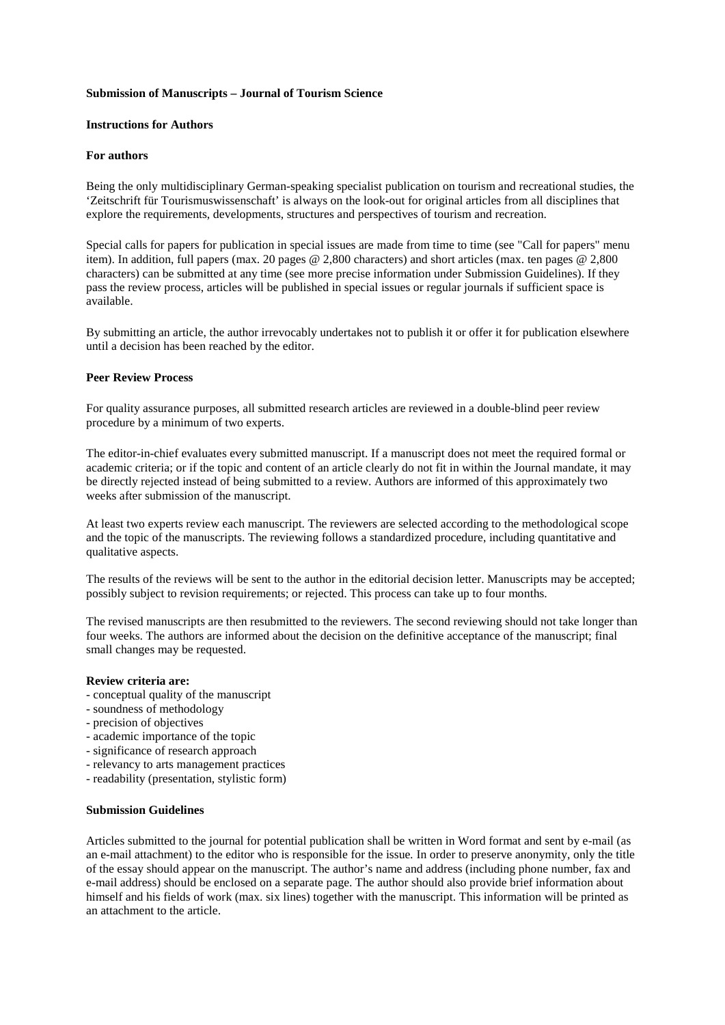### **Submission of Manuscripts – Journal of Tourism Science**

## **Instructions for Authors**

# **For authors**

Being the only multidisciplinary German-speaking specialist publication on tourism and recreational studies, the 'Zeitschrift für Tourismuswissenschaft' is always on the look-out for original articles from all disciplines that explore the requirements, developments, structures and perspectives of tourism and recreation.

Special calls for papers for publication in special issues are made from time to time (see "Call for papers" menu item). In addition, full papers (max. 20 pages @ 2,800 characters) and short articles (max. ten pages @ 2,800 characters) can be submitted at any time (see more precise information under Submission Guidelines). If they pass the review process, articles will be published in special issues or regular journals if sufficient space is available.

By submitting an article, the author irrevocably undertakes not to publish it or offer it for publication elsewhere until a decision has been reached by the editor.

### **Peer Review Process**

For quality assurance purposes, all submitted research articles are reviewed in a double-blind peer review procedure by a minimum of two experts.

The editor-in-chief evaluates every submitted manuscript. If a manuscript does not meet the required formal or academic criteria; or if the topic and content of an article clearly do not fit in within the Journal mandate, it may be directly rejected instead of being submitted to a review. Authors are informed of this approximately two weeks after submission of the manuscript.

At least two experts review each manuscript. The reviewers are selected according to the methodological scope and the topic of the manuscripts. The reviewing follows a standardized procedure, including quantitative and qualitative aspects.

The results of the reviews will be sent to the author in the editorial decision letter. Manuscripts may be accepted; possibly subject to revision requirements; or rejected. This process can take up to four months.

The revised manuscripts are then resubmitted to the reviewers. The second reviewing should not take longer than four weeks. The authors are informed about the decision on the definitive acceptance of the manuscript; final small changes may be requested.

### **Review criteria are:**

- conceptual quality of the manuscript
- soundness of methodology
- precision of objectives
- academic importance of the topic
- significance of research approach
- relevancy to arts management practices
- readability (presentation, stylistic form)

## **Submission Guidelines**

Articles submitted to the journal for potential publication shall be written in Word format and sent by e-mail (as an e-mail attachment) to the editor who is responsible for the issue*.* In order to preserve anonymity, only the title of the essay should appear on the manuscript. The author's name and address (including phone number, fax and e-mail address) should be enclosed on a separate page. The author should also provide brief information about himself and his fields of work (max. six lines) together with the manuscript. This information will be printed as an attachment to the article.